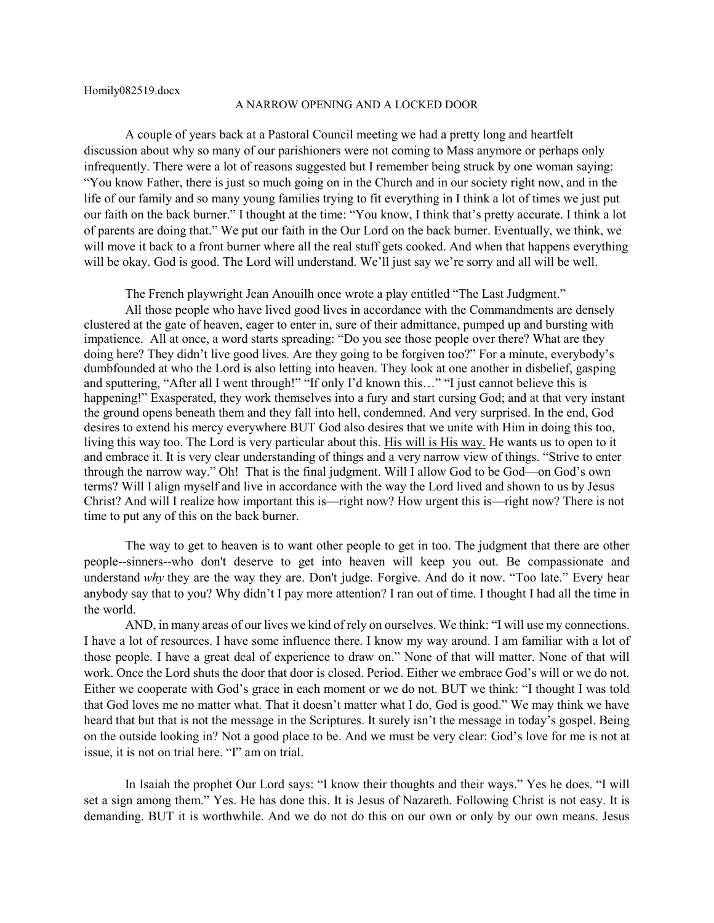Homily082519.docx

## A NARROW OPENING AND A LOCKED DOOR

A couple of years back at a Pastoral Council meeting we had a pretty long and heartfelt discussion about why so many of our parishioners were not coming to Mass anymore or perhaps only infrequently. There were a lot of reasons suggested but I remember being struck by one woman saying: "You know Father, there is just so much going on in the Church and in our society right now, and in the life of our family and so many young families trying to fit everything in I think a lot of times we just put our faith on the back burner." I thought at the time: "You know, I think that's pretty accurate. I think a lot of parents are doing that." We put our faith in the Our Lord on the back burner. Eventually, we think, we will move it back to a front burner where all the real stuff gets cooked. And when that happens everything will be okay. God is good. The Lord will understand. We'll just say we're sorry and all will be well.

The French playwright Jean Anouilh once wrote a play entitled "The Last Judgment."

All those people who have lived good lives in accordance with the Commandments are densely clustered at the gate of heaven, eager to enter in, sure of their admittance, pumped up and bursting with impatience. All at once, a word starts spreading: "Do you see those people over there? What are they doing here? They didn't live good lives. Are they going to be forgiven too?" For a minute, everybody's dumbfounded at who the Lord is also letting into heaven. They look at one another in disbelief, gasping and sputtering, "After all I went through!" "If only I'd known this..." "I just cannot believe this is happening!" Exasperated, they work themselves into a fury and start cursing God; and at that very instant the ground opens beneath them and they fall into hell, condemned. And very surprised. In the end, God desires to extend his mercy everywhere BUT God also desires that we unite with Him in doing this too, living this way too. The Lord is very particular about this. His will is His way. He wants us to open to it and embrace it. It is very clear understanding of things and a very narrow view of things. "Strive to enter through the narrow way." Oh! That is the final judgment. Will I allow God to be God—on God's own terms? Will I align myself and live in accordance with the way the Lord lived and shown to us by Jesus Christ? And will I realize how important this is—right now? How urgent this is—right now? There is not time to put any of this on the back burner.

The way to get to heaven is to want other people to get in too. The judgment that there are other people--sinners--who don't deserve to get into heaven will keep you out. Be compassionate and understand *why* they are the way they are. Don't judge. Forgive. And do it now. "Too late." Every hear anybody say that to you? Why didn't I pay more attention? I ran out of time. I thought I had all the time in the world.

AND, in many areas of our lives we kind of rely on ourselves. We think: "I will use my connections. I have a lot of resources. I have some influence there. I know my way around. I am familiar with a lot of those people. I have a great deal of experience to draw on." None of that will matter. None of that will work. Once the Lord shuts the door that door is closed. Period. Either we embrace God's will or we do not. Either we cooperate with God's grace in each moment or we do not. BUT we think: "I thought I was told that God loves me no matter what. That it doesn't matter what I do, God is good." We may think we have heard that but that is not the message in the Scriptures. It surely isn't the message in today's gospel. Being on the outside looking in? Not a good place to be. And we must be very clear: God's love for me is not at issue, it is not on trial here. "I" am on trial.

In Isaiah the prophet Our Lord says: "I know their thoughts and their ways." Yes he does. "I will set a sign among them." Yes. He has done this. It is Jesus of Nazareth. Following Christ is not easy. It is demanding. BUT it is worthwhile. And we do not do this on our own or only by our own means. Jesus